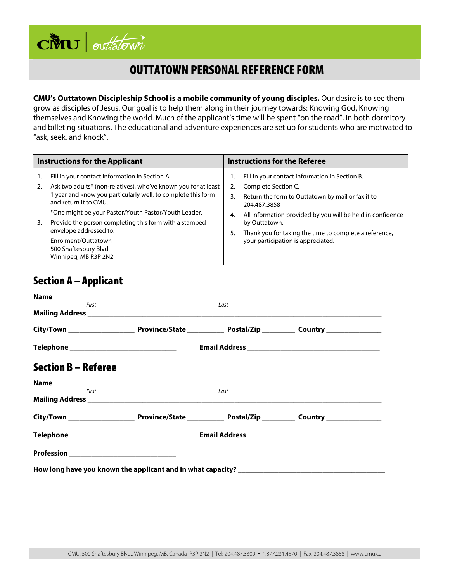## OUTTATOWN PERSONAL REFERENCE FORM

**CMU's Outtatown Discipleship School is a mobile community of young disciples.** Our desire is to see them grow as disciples of Jesus. Our goal is to help them along in their journey towards: Knowing God, Knowing themselves and Knowing the world. Much of the applicant's time will be spent "on the road", in both dormitory and billeting situations. The educational and adventure experiences are set up for students who are motivated to "ask, seek, and knock".

| <b>Instructions for the Applicant</b> |                                                                                                                                                         |    | <b>Instructions for the Referee</b>                                                          |  |  |
|---------------------------------------|---------------------------------------------------------------------------------------------------------------------------------------------------------|----|----------------------------------------------------------------------------------------------|--|--|
|                                       | Fill in your contact information in Section A.                                                                                                          |    | Fill in your contact information in Section B.                                               |  |  |
| 2.                                    | Ask two adults* (non-relatives), who've known you for at least<br>1 year and know you particularly well, to complete this form<br>and return it to CMU. | 2. | Complete Section C.                                                                          |  |  |
|                                       |                                                                                                                                                         | 3. | Return the form to Outtatown by mail or fax it to<br>204.487.3858                            |  |  |
| 3.                                    | *One might be your Pastor/Youth Pastor/Youth Leader.                                                                                                    | 4. | All information provided by you will be held in confidence                                   |  |  |
|                                       | Provide the person completing this form with a stamped<br>envelope addressed to:                                                                        |    | by Outtatown.                                                                                |  |  |
|                                       |                                                                                                                                                         | 5. | Thank you for taking the time to complete a reference,<br>your participation is appreciated. |  |  |
|                                       | Enrolment/Outtatown<br>500 Shaftesbury Blvd.<br>Winnipeg, MB R3P 2N2                                                                                    |    |                                                                                              |  |  |

## Section A – Applicant

 $c\dot{\text{NU}}$  | outstown

| First                                       | Last |  |
|---------------------------------------------|------|--|
|                                             |      |  |
|                                             |      |  |
| Telephone ________________________________  |      |  |
| <b>Section B – Referee</b>                  |      |  |
|                                             |      |  |
| First                                       | Last |  |
|                                             |      |  |
|                                             |      |  |
| Telephone _________________________________ |      |  |
| Profession _______________________________  |      |  |
|                                             |      |  |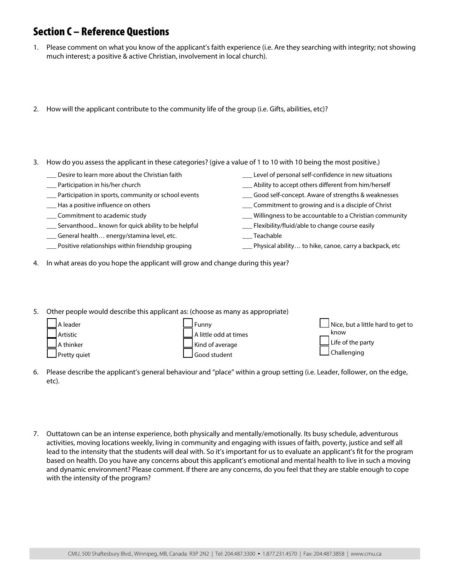## Section C – Reference Questions

- 1. Please comment on what you know of the applicant's faith experience (i.e. Are they searching with integrity; not showing much interest; a positive & active Christian, involvement in local church).
- 2. How will the applicant contribute to the community life of the group (i.e. Gifts, abilities, etc)?
- 3. How do you assess the applicant in these categories? (give a value of 1 to 10 with 10 being the most positive.)
	- \_\_\_ Desire to learn more about the Christian faith
	- \_\_\_ Participation in his/her church
	- \_\_\_ Participation in sports, community or school events
	- \_\_\_ Has a positive influence on others
	- \_\_\_ Commitment to academic study
	- \_\_\_ Servanthood... known for quick ability to be helpful
	- \_\_\_ General health… energy/stamina level, etc.
	- \_\_\_ Positive relationships within friendship grouping
- \_\_\_ Level of personal self-confidence in new situations
- \_\_\_ Ability to accept others different from him/herself
- \_\_\_ Good self-concept. Aware of strengths & weaknesses
- \_\_\_ Commitment to growing and is a disciple of Christ
- \_\_\_ Willingness to be accountable to a Christian community
- \_\_\_ Flexibility/fluid/able to change course easily
- \_\_\_ Teachable
- \_\_\_ Physical ability… to hike, canoe, carry a backpack, etc
- 4. In what areas do you hope the applicant will grow and change during this year?
- 5. Other people would describe this applicant as: (choose as many as appropriate)

| l A leader   | Funny                 | $\Box$ Nice, but a little hard to get to  |
|--------------|-----------------------|-------------------------------------------|
| Artistic     | A little odd at times | know                                      |
| A thinker    | Kind of average       | $\perp$ Life of the party<br>Schallenging |
| Pretty quiet | Good student          |                                           |

- 6. Please describe the applicant's general behaviour and "place" within a group setting (i.e. Leader, follower, on the edge, etc).
- 7. Outtatown can be an intense experience, both physically and mentally/emotionally. Its busy schedule, adventurous activities, moving locations weekly, living in community and engaging with issues of faith, poverty, justice and self all lead to the intensity that the students will deal with. So it's important for us to evaluate an applicant's fit for the program based on health. Do you have any concerns about this applicant's emotional and mental health to live in such a moving and dynamic environment? Please comment. If there are any concerns, do you feel that they are stable enough to cope with the intensity of the program?